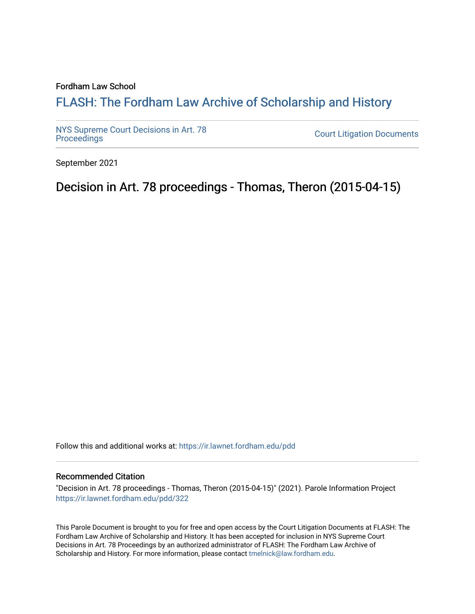## Fordham Law School

## FLASH: The For[dham Law Archive of Scholarship and Hist](https://ir.lawnet.fordham.edu/)ory

[NYS Supreme Court Decisions in Art. 78](https://ir.lawnet.fordham.edu/pdd)

**Court Litigation Documents** 

September 2021

Decision in Art. 78 proceedings - Thomas, Theron (2015-04-15)

Follow this and additional works at: [https://ir.lawnet.fordham.edu/pdd](https://ir.lawnet.fordham.edu/pdd?utm_source=ir.lawnet.fordham.edu%2Fpdd%2F322&utm_medium=PDF&utm_campaign=PDFCoverPages)

## Recommended Citation

"Decision in Art. 78 proceedings - Thomas, Theron (2015-04-15)" (2021). Parole Information Project [https://ir.lawnet.fordham.edu/pdd/322](https://ir.lawnet.fordham.edu/pdd/322?utm_source=ir.lawnet.fordham.edu%2Fpdd%2F322&utm_medium=PDF&utm_campaign=PDFCoverPages)

This Parole Document is brought to you for free and open access by the Court Litigation Documents at FLASH: The Fordham Law Archive of Scholarship and History. It has been accepted for inclusion in NYS Supreme Court Decisions in Art. 78 Proceedings by an authorized administrator of FLASH: The Fordham Law Archive of Scholarship and History. For more information, please contact [tmelnick@law.fordham.edu](mailto:tmelnick@law.fordham.edu).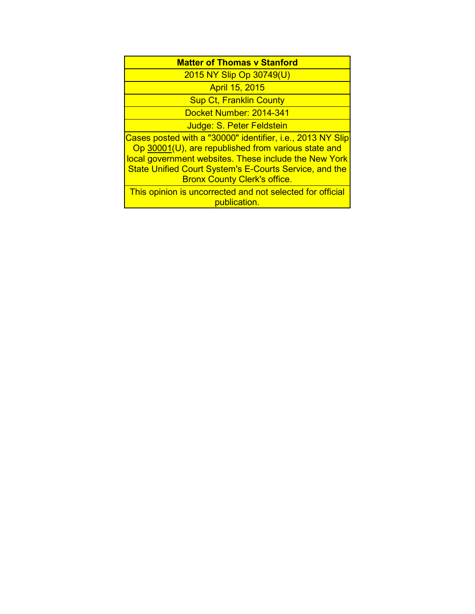| <b>Matter of Thomas y Stanford</b>                                                                                                                                                                                                                                                 |
|------------------------------------------------------------------------------------------------------------------------------------------------------------------------------------------------------------------------------------------------------------------------------------|
| 2015 NY Slip Op 30749(U)                                                                                                                                                                                                                                                           |
| <b>April 15, 2015</b>                                                                                                                                                                                                                                                              |
| <b>Sup Ct, Franklin County</b>                                                                                                                                                                                                                                                     |
| Docket Number: 2014-341                                                                                                                                                                                                                                                            |
| Judge: S. Peter Feldstein                                                                                                                                                                                                                                                          |
| Cases posted with a "30000" identifier, i.e., 2013 NY Slip<br>Op 30001(U), are republished from various state and<br>local government websites. These include the New York<br><b>State Unified Court System's E-Courts Service, and the</b><br><b>Bronx County Clerk's office.</b> |
| This opinion is uncorrected and not selected for official<br>publication.                                                                                                                                                                                                          |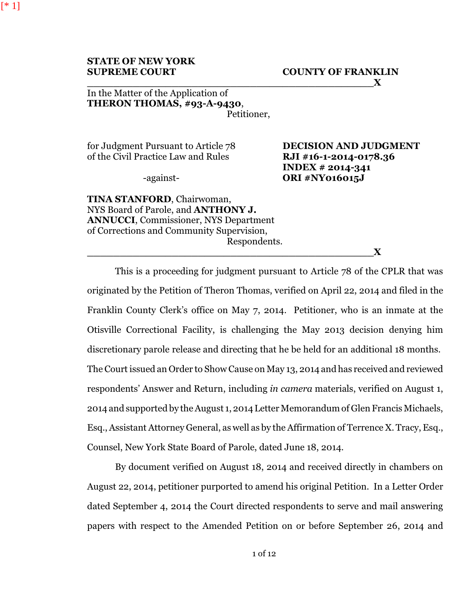[\* 1]

## In the Matter of the Application of **THERON THOMAS, #93-A-9430**, Petitioner,

for Judgment Pursuant to Article 78 **DECISION AND JUDGMENT** of the Civil Practice Law and Rules **RJI #16-1-2014-0178.36**

**INDEX # 2014-341** -against- **ORI #NY016015J**

**TINA STANFORD**, Chairwoman, NYS Board of Parole, and **ANTHONY J. ANNUCCI**, Commissioner, NYS Department of Corrections and Community Supervision, Respondents.

**\_\_\_\_\_\_\_\_\_\_\_\_\_\_\_\_\_\_\_\_\_\_\_\_\_\_\_\_\_\_\_\_\_\_\_\_\_\_\_\_\_\_\_\_X**

This is a proceeding for judgment pursuant to Article 78 of the CPLR that was originated by the Petition of Theron Thomas, verified on April 22, 2014 and filed in the Franklin County Clerk's office on May 7, 2014. Petitioner, who is an inmate at the Otisville Correctional Facility, is challenging the May 2013 decision denying him discretionary parole release and directing that he be held for an additional 18 months. The Court issued an Order to Show Cause on May 13, 2014 and has received and reviewed respondents' Answer and Return, including *in camera* materials, verified on August 1, 2014 and supported by the August 1, 2014 Letter Memorandum of Glen Francis Michaels, Esq., Assistant Attorney General, as well as by the Affirmation of Terrence X. Tracy, Esq., Counsel, New York State Board of Parole, dated June 18, 2014.

By document verified on August 18, 2014 and received directly in chambers on August 22, 2014, petitioner purported to amend his original Petition. In a Letter Order dated September 4, 2014 the Court directed respondents to serve and mail answering papers with respect to the Amended Petition on or before September 26, 2014 and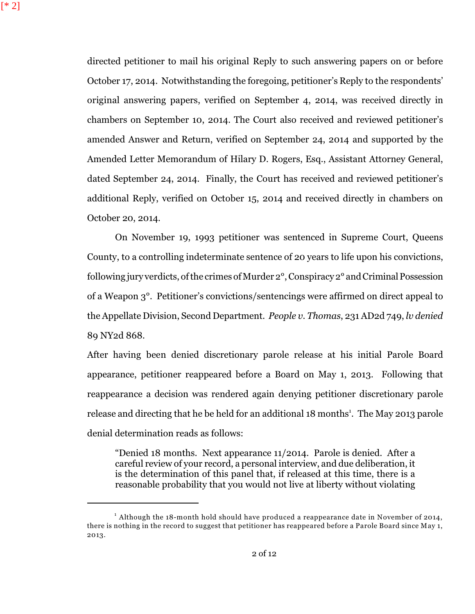directed petitioner to mail his original Reply to such answering papers on or before October 17, 2014. Notwithstanding the foregoing, petitioner's Reply to the respondents' original answering papers, verified on September 4, 2014, was received directly in chambers on September 10, 2014. The Court also received and reviewed petitioner's amended Answer and Return, verified on September 24, 2014 and supported by the Amended Letter Memorandum of Hilary D. Rogers, Esq., Assistant Attorney General, dated September 24, 2014. Finally, the Court has received and reviewed petitioner's additional Reply, verified on October 15, 2014 and received directly in chambers on October 20, 2014.

On November 19, 1993 petitioner was sentenced in Supreme Court, Queens County, to a controlling indeterminate sentence of 20 years to life upon his convictions, following jury verdicts, of the crimes of Murder 2<sup>°</sup>, Conspiracy 2<sup>°</sup> and Criminal Possession of a Weapon 3°. Petitioner's convictions/sentencings were affirmed on direct appeal to the Appellate Division, Second Department. *People v. Thomas*, 231 AD2d 749, *lv denied* 89 NY2d 868.

After having been denied discretionary parole release at his initial Parole Board appearance, petitioner reappeared before a Board on May 1, 2013. Following that reappearance a decision was rendered again denying petitioner discretionary parole release and directing that he be held for an additional 18 months<sup>1</sup>. The May 2013 parole denial determination reads as follows:

"Denied 18 months. Next appearance 11/2014. Parole is denied. After a careful review of your record, a personal interview, and due deliberation, it is the determination of this panel that, if released at this time, there is a reasonable probability that you would not live at liberty without violating

 $^1$  Although the 18-month hold should have produced a reappearance date in November of 2014, there is nothing in the record to suggest that petitioner has reappeared before a Parole Board since May 1, 2013.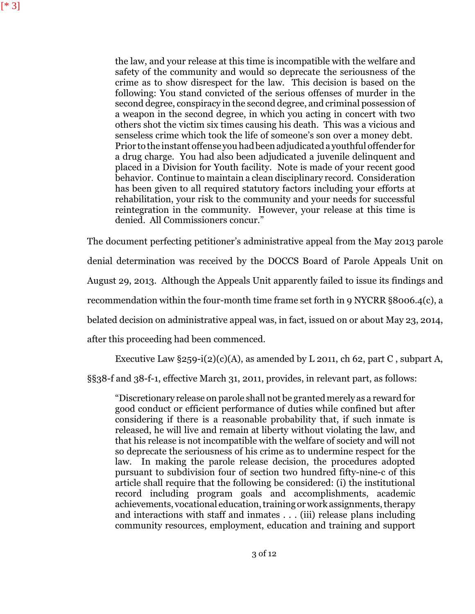the law, and your release at this time is incompatible with the welfare and safety of the community and would so deprecate the seriousness of the crime as to show disrespect for the law. This decision is based on the following: You stand convicted of the serious offenses of murder in the second degree, conspiracy in the second degree, and criminal possession of a weapon in the second degree, in which you acting in concert with two others shot the victim six times causing his death. This was a vicious and senseless crime which took the life of someone's son over a money debt. Prior to the instant offense you hadbeen adjudicated a youthful offender for a drug charge. You had also been adjudicated a juvenile delinquent and placed in a Division for Youth facility. Note is made of your recent good behavior. Continue to maintain a clean disciplinary record. Consideration has been given to all required statutory factors including your efforts at rehabilitation, your risk to the community and your needs for successful reintegration in the community. However, your release at this time is denied. All Commissioners concur."

The document perfecting petitioner's administrative appeal from the May 2013 parole denial determination was received by the DOCCS Board of Parole Appeals Unit on August 29, 2013. Although the Appeals Unit apparently failed to issue its findings and recommendation within the four-month time frame set forth in 9 NYCRR §8006.4(c), a belated decision on administrative appeal was, in fact, issued on or about May 23, 2014, after this proceeding had been commenced.

Executive Law  $\S 259-i(2)(c)(A)$ , as amended by L 2011, ch 62, part C, subpart A,

§§38-f and 38-f-1, effective March 31, 2011, provides, in relevant part, as follows:

"Discretionary release on parole shall not be granted merely as a reward for good conduct or efficient performance of duties while confined but after considering if there is a reasonable probability that, if such inmate is released, he will live and remain at liberty without violating the law, and that his release is not incompatible with the welfare of society and will not so deprecate the seriousness of his crime as to undermine respect for the law. In making the parole release decision, the procedures adopted pursuant to subdivision four of section two hundred fifty-nine-c of this article shall require that the following be considered: (i) the institutional record including program goals and accomplishments, academic achievements, vocational education, training or work assignments, therapy and interactions with staff and inmates . . . (iii) release plans including community resources, employment, education and training and support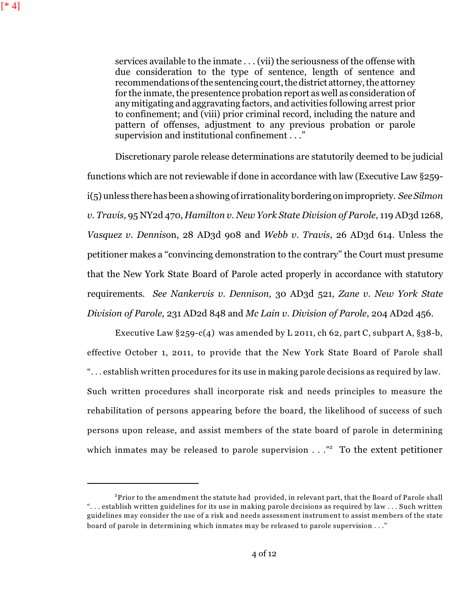services available to the inmate . . . (vii) the seriousness of the offense with due consideration to the type of sentence, length of sentence and recommendations of the sentencing court, the district attorney, the attorney for the inmate, the presentence probation report as well as consideration of any mitigating and aggravating factors, and activities following arrest prior to confinement; and (viii) prior criminal record, including the nature and pattern of offenses, adjustment to any previous probation or parole supervision and institutional confinement . . ."

Discretionary parole release determinations are statutorily deemed to be judicial functions which are not reviewable if done in accordance with law (Executive Law §259 i(5) unless there has been a showing of irrationality bordering on impropriety. *See Silmon v. Travis,* 95 NY2d 470, *Hamilton v. New York State Division of Parole,* 119 AD3d 1268*, Vasquez v. Dennis*on, 28 AD3d 908 and *Webb v. Travis*, 26 AD3d 614. Unless the petitioner makes a "convincing demonstration to the contrary" the Court must presume that the New York State Board of Parole acted properly in accordance with statutory requirements. *See Nankervis v. Dennison,* 30 AD3d 521*, Zane v. New York State Division of Parole*, 231 AD2d 848 and *Mc Lain v. Division of Parole*, 204 AD2d 456.

Executive Law  $\S 259-c(4)$  was amended by L 2011, ch 62, part C, subpart A,  $\S 38-b$ , effective October 1, 2011, to provide that the New York State Board of Parole shall ". . . establish written procedures for its use in making parole decisions as required by law. Such written procedures shall incorporate risk and needs principles to measure the rehabilitation of persons appearing before the board, the likelihood of success of such persons upon release, and assist members of the state board of parole in determining which inmates may be released to parole supervision  $\ldots$ ." To the extent petitioner

 $^{2}$ Prior to the amendment the statute had provided, in relevant part, that the Board of Parole shall ". . . establish written guidelines for its use in making parole decisions as required by law . . . Such written guidelines may consider the use of a risk and needs assessment instrument to assist members of the state board of parole in determining which inmates may be released to parole supervision . . ."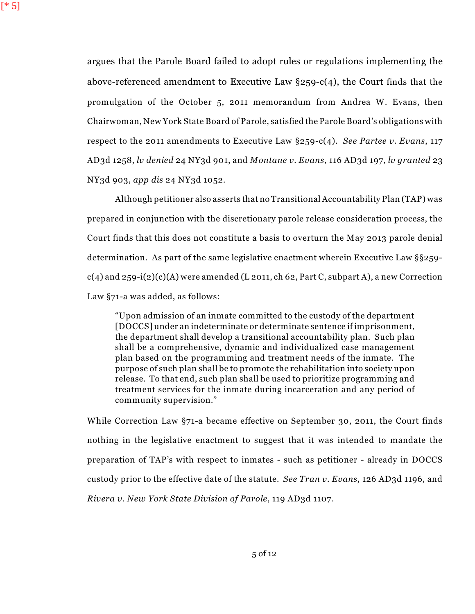argues that the Parole Board failed to adopt rules or regulations implementing the above-referenced amendment to Executive Law §259-c(4), the Court finds that the promulgation of the October 5, 2011 memorandum from Andrea W. Evans, then Chairwoman, New York State Board of Parole, satisfied the Parole Board's obligations with respect to the 2011 amendments to Executive Law §259-c(4). *See Partee v. Evans*, 117 AD3d 1258, *lv denied* 24 NY3d 901, and *Montane v. Evans*, 116 AD3d 197, *lv granted* 23 NY3d 903, *app dis* 24 NY3d 1052.

Although petitioner also asserts that no Transitional Accountability Plan (TAP) was prepared in conjunction with the discretionary parole release consideration process, the Court finds that this does not constitute a basis to overturn the May 2013 parole denial determination. As part of the same legislative enactment wherein Executive Law §§259  $c(4)$  and 259-i(2)(c)(A) were amended (L 2011, ch 62, Part C, subpart A), a new Correction Law §71-a was added, as follows:

"Upon admission of an inmate committed to the custody of the department [DOCCS] under an indeterminate or determinate sentence if imprisonment, the department shall develop a transitional accountability plan. Such plan shall be a comprehensive, dynamic and individualized case management plan based on the programming and treatment needs of the inmate. The purpose of such plan shall be to promote the rehabilitation into society upon release. To that end, such plan shall be used to prioritize programming and treatment services for the inmate during incarceration and any period of community supervision."

While Correction Law §71-a became effective on September 30, 2011, the Court finds nothing in the legislative enactment to suggest that it was intended to mandate the preparation of TAP's with respect to inmates - such as petitioner - already in DOCCS custody prior to the effective date of the statute*. See Tran v. Evans,* 126 AD3d 1196*,* and *Rivera v. New York State Division of Parole*, 119 AD3d 1107.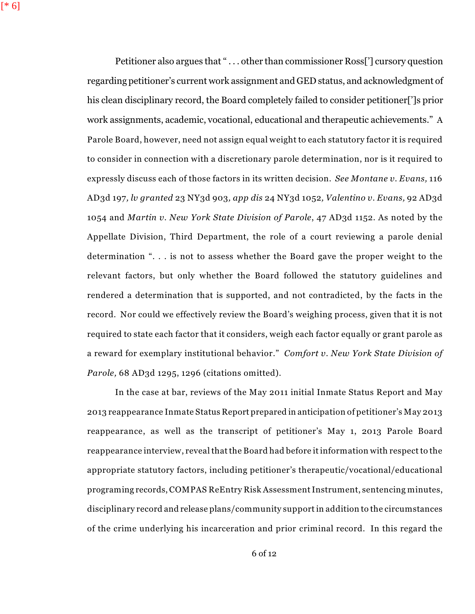Petitioner also argues that "... other than commissioner Ross<sup>[']</sup> cursory question regarding petitioner's current work assignment and GED status, and acknowledgment of his clean disciplinary record, the Board completely failed to consider petitioner[']s prior work assignments, academic, vocational, educational and therapeutic achievements." A Parole Board, however, need not assign equal weight to each statutory factor it is required to consider in connection with a discretionary parole determination, nor is it required to expressly discuss each of those factors in its written decision. *See Montane v. Evans,* 116 AD3d 197*, lv granted* 23 NY3d 903*, app dis* 24 NY3d 1052*, Valentino v. Evans,* 92 AD3d 1054 and *Martin v. New York State Division of Parole*, 47 AD3d 1152. As noted by the Appellate Division, Third Department, the role of a court reviewing a parole denial determination ". . . is not to assess whether the Board gave the proper weight to the relevant factors, but only whether the Board followed the statutory guidelines and rendered a determination that is supported, and not contradicted, by the facts in the record. Nor could we effectively review the Board's weighing process, given that it is not required to state each factor that it considers, weigh each factor equally or grant parole as a reward for exemplary institutional behavior." *Comfort v. New York State Division of Parole,* 68 AD3d 1295, 1296 (citations omitted).

In the case at bar, reviews of the May 2011 initial Inmate Status Report and May 2013 reappearance Inmate Status Report prepared in anticipation of petitioner's May 2013 reappearance, as well as the transcript of petitioner's May 1, 2013 Parole Board reappearance interview, reveal that the Board had before it information with respect to the appropriate statutory factors, including petitioner's therapeutic/vocational/educational programing records, COMPAS ReEntry Risk Assessment Instrument, sentencing minutes, disciplinary record and release plans/community support in addition to the circumstances of the crime underlying his incarceration and prior criminal record. In this regard the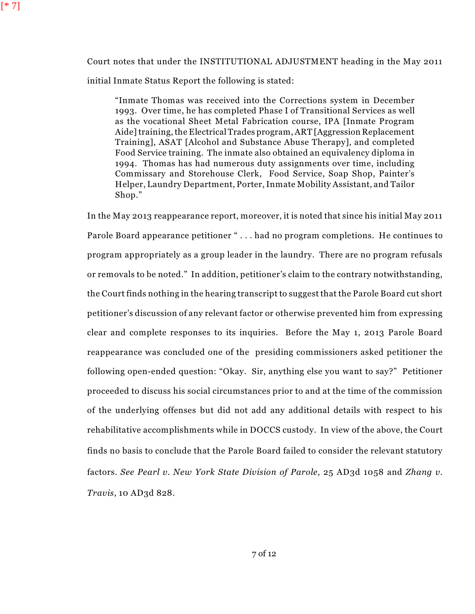Court notes that under the INSTITUTIONAL ADJUSTMENT heading in the May 2011 initial Inmate Status Report the following is stated:

"Inmate Thomas was received into the Corrections system in December 1993. Over time, he has completed Phase I of Transitional Services as well as the vocational Sheet Metal Fabrication course, IPA [Inmate Program Aide]training, the Electrical Trades program,ART [Aggression Replacement Training], ASAT [Alcohol and Substance Abuse Therapy], and completed Food Service training. The inmate also obtained an equivalency diploma in 1994. Thomas has had numerous duty assignments over time, including Commissary and Storehouse Clerk, Food Service, Soap Shop, Painter's Helper, Laundry Department, Porter,Inmate Mobility Assistant, and Tailor Shop."

In the May 2013 reappearance report, moreover, it is noted that since his initial May 2011 Parole Board appearance petitioner " . . . had no program completions. He continues to program appropriately as a group leader in the laundry. There are no program refusals or removals to be noted." In addition, petitioner's claim to the contrary notwithstanding, the Court finds nothing in the hearing transcript to suggest that the Parole Board cut short petitioner's discussion of any relevant factor or otherwise prevented him from expressing clear and complete responses to its inquiries. Before the May 1, 2013 Parole Board reappearance was concluded one of the presiding commissioners asked petitioner the following open-ended question: "Okay. Sir, anything else you want to say?" Petitioner proceeded to discuss his social circumstances prior to and at the time of the commission of the underlying offenses but did not add any additional details with respect to his rehabilitative accomplishments while in DOCCS custody. In view of the above, the Court finds no basis to conclude that the Parole Board failed to consider the relevant statutory factors. *See Pearl v. New York State Division of Parole,* 25 AD3d 1058 and *Zhang v. Travis*, 10 AD3d 828.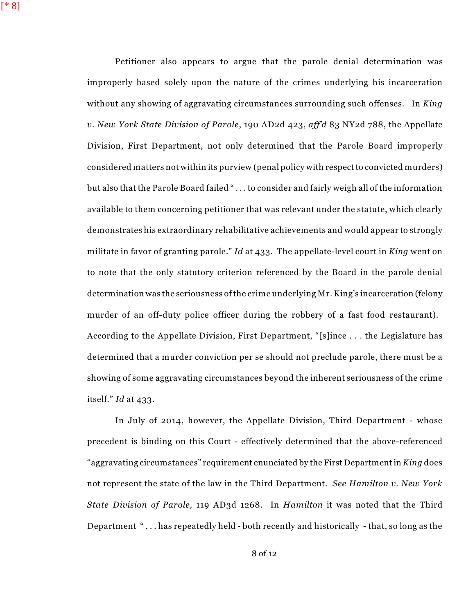[\* 8]

Petitioner also appears to argue that the parole denial determination was improperly based solely upon the nature of the crimes underlying his incarceration without any showing of aggravating circumstances surrounding such offenses. In *King v. New York State Division of Parole*, 190 AD2d 423, *aff'd* 83 NY2d 788, the Appellate Division, First Department, not only determined that the Parole Board improperly considered matters not within its purview (penal policy with respectto convicted murders) but also that the Parole Board failed " . . . to consider and fairly weigh all of the information available to them concerning petitioner that was relevant under the statute, which clearly demonstrates his extraordinary rehabilitative achievements and would appear to strongly militate in favor of granting parole." *Id* at 433. The appellate-level court in *King* went on to note that the only statutory criterion referenced by the Board in the parole denial determination was the seriousness ofthe crime underlying Mr. King's incarceration (felony murder of an off-duty police officer during the robbery of a fast food restaurant). According to the Appellate Division, First Department, "[s]ince . . . the Legislature has determined that a murder conviction per se should not preclude parole, there must be a showing of some aggravating circumstances beyond the inherent seriousness of the crime itself." *Id* at 433.

In July of 2014, however, the Appellate Division, Third Department - whose precedent is binding on this Court - effectively determined that the above-referenced "aggravating circumstances" requirement enunciated by the First Departmentin *King* does not represent the state of the law in the Third Department. *See Hamilton v. New York State Division of Parole,* 119 AD3d 1268. In *Hamilton* it was noted that the Third Department " . . . has repeatedly held - both recently and historically - that, so long as the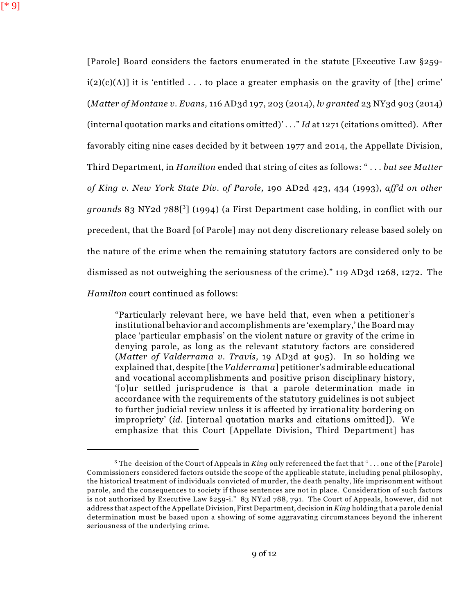[Parole] Board considers the factors enumerated in the statute [Executive Law §259  $i(2)(c)(A)$  it is 'entitled ... to place a greater emphasis on the gravity of [the] crime' (*Matter of Montane v. Evans,* 116 AD3d 197, 203 (2014), *lv granted* 23 NY3d 903 (2014) (internal quotation marks and citations omitted)' . . ." *Id* at 1271 (citations omitted). After favorably citing nine cases decided by it between 1977 and 2014, the Appellate Division, Third Department, in *Hamilton* ended that string of cites as follows: " . . . *but see Matter of King v. New York State Div. of Parole,* 190 AD2d 423, 434 (1993), *aff'd on other* grounds 83 NY2d 788[<sup>3</sup>] (1994) (a First Department case holding, in conflict with our precedent, that the Board [of Parole] may not deny discretionary release based solely on the nature of the crime when the remaining statutory factors are considered only to be dismissed as not outweighing the seriousness of the crime)." 119 AD3d 1268, 1272. The *Hamilton* court continued as follows:

"Particularly relevant here, we have held that, even when a petitioner's institutional behavior and accomplishments are 'exemplary,'the Board may place 'particular emphasis' on the violent nature or gravity of the crime in denying parole, as long as the relevant statutory factors are considered (*Matter of Valderrama v. Travis,* 19 AD3d at 905). In so holding we explained that, despite [the *Valderrama*] petitioner's admirable educational and vocational accomplishments and positive prison disciplinary history, '[o]ur settled jurisprudence is that a parole determination made in accordance with the requirements of the statutory guidelines is not subject to further judicial review unless it is affected by irrationality bordering on impropriety' (*id*. [internal quotation marks and citations omitted]). We emphasize that this Court [Appellate Division, Third Department] has

<sup>&</sup>lt;sup>3</sup> The decision of the Court of Appeals in *King* only referenced the fact that "... one of the [Parole] Commissioners considered factors outside the scope of the applicable statute, including penal philosophy, the historical treatment of individuals convicted of murder, the death penalty, life imprisonment without parole, and the consequences to society if those sentences are not in place. Consideration of such factors is not authorized by Executive Law §259-i." 83 NY2d 788, 791. The Court of Appeals, however, did not address that aspect of the Appellate Division, First Department, decision in *King* holding that a parole denial determination must be based upon a showing of some aggravating circumstances beyond the inherent seriousness of the underlying crime.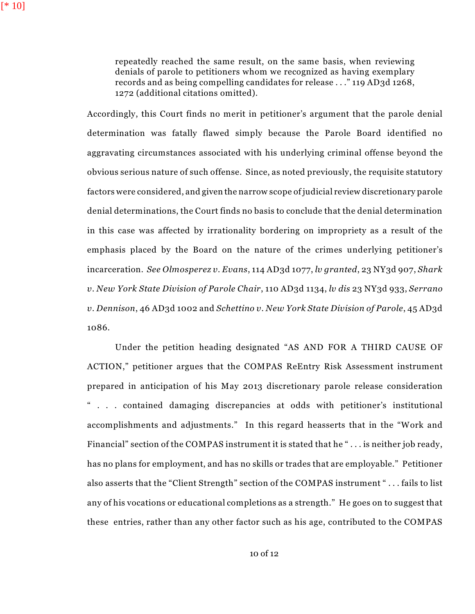[\* 10]

repeatedly reached the same result, on the same basis, when reviewing denials of parole to petitioners whom we recognized as having exemplary records and as being compelling candidates for release . . ." 119 AD3d 1268, 1272 (additional citations omitted).

Accordingly, this Court finds no merit in petitioner's argument that the parole denial determination was fatally flawed simply because the Parole Board identified no aggravating circumstances associated with his underlying criminal offense beyond the obvious serious nature of such offense. Since, as noted previously, the requisite statutory factors were considered, and given the narrow scope of judicial review discretionary parole denial determinations, the Court finds no basis to conclude that the denial determination in this case was affected by irrationality bordering on impropriety as a result of the emphasis placed by the Board on the nature of the crimes underlying petitioner's incarceration. *See Olmosperez v. Evans*, 114 AD3d 1077, *lv granted*, 23 NY3d 907, *Shark v. New York State Division of Parole Chair*, 110 AD3d 1134, *lv dis* 23 NY3d 933, *Serrano v. Dennison*, 46 AD3d 1002 and *Schettino v. New York State Division of Parole*, 45 AD3d 1086.

Under the petition heading designated "AS AND FOR A THIRD CAUSE OF ACTION," petitioner argues that the COMPAS ReEntry Risk Assessment instrument prepared in anticipation of his May 2013 discretionary parole release consideration " . . . contained damaging discrepancies at odds with petitioner's institutional accomplishments and adjustments." In this regard heasserts that in the "Work and Financial" section of the COMPAS instrument it is stated that he "... is neither job ready, has no plans for employment, and has no skills or trades that are employable." Petitioner also asserts that the "Client Strength" section of the COMPAS instrument " . . . fails to list any of his vocations or educational completions as a strength." He goes on to suggest that these entries, rather than any other factor such as his age, contributed to the COMPAS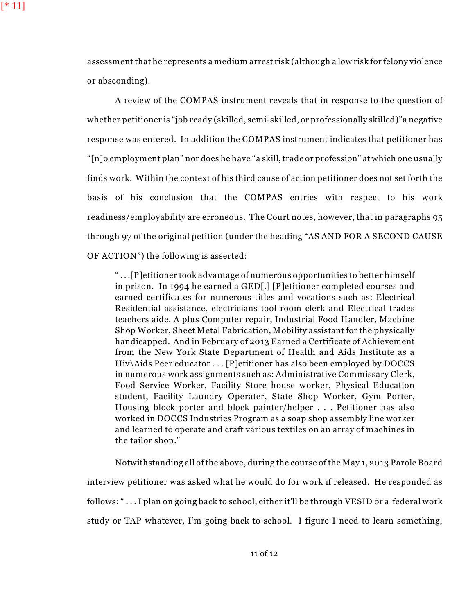assessment that he represents a medium arrest risk (although a low risk for felony violence or absconding).

A review of the COMPAS instrument reveals that in response to the question of whether petitioner is "job ready (skilled, semi-skilled, or professionally skilled)"a negative response was entered. In addition the COMPAS instrument indicates that petitioner has "[n]o employment plan" nor does he have "a skill, trade or profession" at which one usually finds work. Within the context of his third cause of action petitioner does not set forth the basis of his conclusion that the COMPAS entries with respect to his work readiness/employability are erroneous. The Court notes, however, that in paragraphs 95 through 97 of the original petition (under the heading "AS AND FOR A SECOND CAUSE OF ACTION") the following is asserted:

" . . .[P]etitioner took advantage of numerous opportunities to better himself in prison. In 1994 he earned a GED[.] [P]etitioner completed courses and earned certificates for numerous titles and vocations such as: Electrical Residential assistance, electricians tool room clerk and Electrical trades teachers aide. A plus Computer repair, Industrial Food Handler, Machine Shop Worker, Sheet Metal Fabrication, Mobility assistant for the physically handicapped. And in February of 2013 Earned a Certificate of Achievement from the New York State Department of Health and Aids Institute as a Hiv\Aids Peer educator . . . [P]etitioner has also been employed by DOCCS in numerous work assignments such as: Administrative Commissary Clerk, Food Service Worker, Facility Store house worker, Physical Education student, Facility Laundry Operater, State Shop Worker, Gym Porter, Housing block porter and block painter/helper . . . Petitioner has also worked in DOCCS Industries Program as a soap shop assembly line worker and learned to operate and craft various textiles on an array of machines in the tailor shop."

Notwithstanding all of the above, during the course of the May 1, 2013 Parole Board interview petitioner was asked what he would do for work if released. He responded as follows: " . . . I plan on going back to school, either it'll be through VESID or a federal work study or TAP whatever, I'm going back to school. I figure I need to learn something,